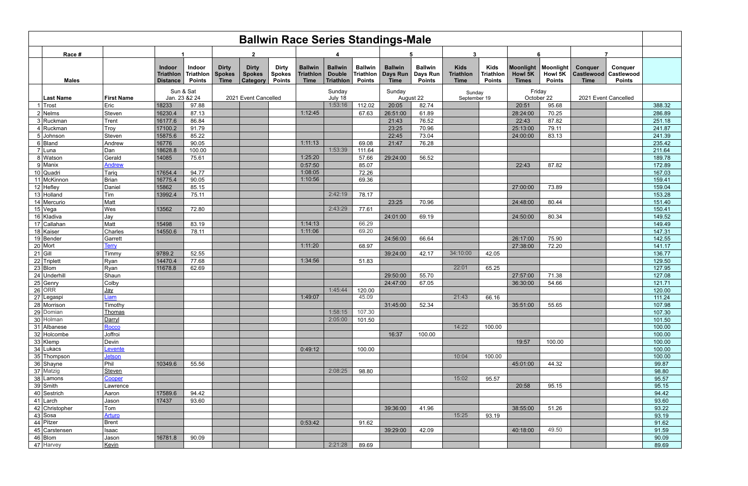| <b>Ballwin Race Series Standings-Male</b> |                         |                                               |                                             |                                              |                                                  |                                                |                                                   |                                              |                                              |                                           |                                             |                                                |                                           |                                                  |                          |                                             |                                               |                  |
|-------------------------------------------|-------------------------|-----------------------------------------------|---------------------------------------------|----------------------------------------------|--------------------------------------------------|------------------------------------------------|---------------------------------------------------|----------------------------------------------|----------------------------------------------|-------------------------------------------|---------------------------------------------|------------------------------------------------|-------------------------------------------|--------------------------------------------------|--------------------------|---------------------------------------------|-----------------------------------------------|------------------|
| Race #                                    | $\mathbf{2}$            |                                               |                                             |                                              |                                                  |                                                |                                                   |                                              |                                              |                                           |                                             | 3                                              |                                           | 6                                                |                          |                                             |                                               |                  |
| <b>Males</b>                              |                         | Indoor<br><b>Triathlon</b><br><b>Distance</b> | <b>Indoor</b><br>Triathlon<br><b>Points</b> | <b>Dirty</b><br><b>Spokes</b><br><b>Time</b> | <b>Dirty</b><br><b>Spokes</b><br><b>Category</b> | <b>Dirty</b><br><b>Spokes</b><br><b>Points</b> | <b>Ballwin</b><br><b>Triathlon</b><br><b>Time</b> | <b>Ballwin</b><br><b>Double</b><br>Triathlon | <b>Ballwin</b><br>Triathlon<br><b>Points</b> | <b>Ballwin</b><br>Days Run<br><b>Time</b> | <b>Ballwin</b><br>Days Run<br><b>Points</b> | <b>Kids</b><br><b>Triathlon</b><br><b>Time</b> | <b>Kids</b><br>Triathlon<br><b>Points</b> | Moonlight   Moonlight<br>Howl 5K<br><b>Times</b> | Howl 5K<br><b>Points</b> | <b>Conquer</b><br>Castlewood<br><b>Time</b> | Conquer<br><b>Castlewood</b><br><b>Points</b> |                  |
| <b>Last Name</b>                          | <b>First Name</b>       |                                               | Sun & Sat<br>Jan. 23 & 22 24                | 2021 Event Cancelled                         |                                                  | Sunday<br>July 18                              |                                                   | Sunday<br>August 22                          |                                              | Sunday<br>September 19                    |                                             | Friday<br>October 22                           |                                           | 2021 Event Cancelled                             |                          |                                             |                                               |                  |
| ∣Trost                                    | Eric                    | 18233                                         | 97.88                                       |                                              |                                                  |                                                |                                                   | 1:53:16                                      | 112.02                                       | 20:05                                     | 82.74                                       |                                                |                                           | 20:51                                            | 95.68                    |                                             |                                               | 388.32           |
| $2$ Nelms                                 | Steven                  | 16230.4                                       | 87.13                                       |                                              |                                                  |                                                | 1:12:45                                           |                                              | 67.63                                        | 26:51:00                                  | 61.89                                       |                                                |                                           | 28:24:00                                         | 70.25                    |                                             |                                               | 286.89           |
| 3 Ruckman                                 | Trent                   | 16177.6                                       | 86.84                                       |                                              |                                                  |                                                |                                                   |                                              |                                              | 21:43                                     | 76.52                                       |                                                |                                           | 22:43                                            | 87.82                    |                                             |                                               | 251.18           |
| 4 Ruckman                                 | Troy                    | 17100.2                                       | 91.79                                       |                                              |                                                  |                                                |                                                   |                                              |                                              | 23:25                                     | 70.96                                       |                                                |                                           | 25:13:00                                         | 79.11                    |                                             |                                               | 241.87           |
| 5 Johnson                                 | Steven                  | 15875.6                                       | 85.22                                       |                                              |                                                  |                                                | 1:11:13                                           |                                              |                                              | 22:45                                     | 73.04                                       |                                                |                                           | 24:00:00                                         | 83.13                    |                                             |                                               | 241.39           |
| $6 $ Bland                                | Andrew                  | 16776<br>18628.8                              | 90.05                                       |                                              |                                                  |                                                |                                                   | 1:53:39                                      | 69.08                                        | 21:47                                     | 76.28                                       |                                                |                                           |                                                  |                          |                                             |                                               | 235.42           |
| 7 Luna<br>8 Watson                        | Dan<br>Gerald           | 14085                                         | 100.00<br>75.61                             |                                              |                                                  |                                                | 1:25:20                                           |                                              | 111.64<br>57.66                              | 29:24:00                                  | 56.52                                       |                                                |                                           |                                                  |                          |                                             |                                               | 211.64<br>189.78 |
| $9$ Manix                                 | <b>Andrew</b>           |                                               |                                             |                                              |                                                  |                                                | 0:57:50                                           |                                              | 85.07                                        |                                           |                                             |                                                |                                           | 22:43                                            | 87.82                    |                                             |                                               | 172.89           |
| $10$ Quadri                               | Tariq                   | 17654.4                                       | 94.77                                       |                                              |                                                  |                                                | 1:08:05                                           |                                              | 72.26                                        |                                           |                                             |                                                |                                           |                                                  |                          |                                             |                                               | 167.03           |
| 11 McKinnon                               | Brian                   | 16775.4                                       | 90.05                                       |                                              |                                                  |                                                | 1:10:56                                           |                                              | 69.36                                        |                                           |                                             |                                                |                                           |                                                  |                          |                                             |                                               | 159.41           |
| $12$ Hefley                               | Daniel                  | 15862                                         | 85.15                                       |                                              |                                                  |                                                |                                                   |                                              |                                              |                                           |                                             |                                                |                                           | 27:00:00                                         | 73.89                    |                                             |                                               | 159.04           |
| 13 Holland                                | Tim                     | 13992.4                                       | 75.11                                       |                                              |                                                  |                                                |                                                   | 2:42:19                                      | 78.17                                        |                                           |                                             |                                                |                                           |                                                  |                          |                                             |                                               | 153.28           |
| 14 Mercurio                               | Matt                    |                                               |                                             |                                              |                                                  |                                                |                                                   |                                              |                                              | 23:25                                     | 70.96                                       |                                                |                                           | 24:48:00                                         | 80.44                    |                                             |                                               | 151.40           |
| $15$ Vega                                 | Wes                     | 13562                                         | 72.80                                       |                                              |                                                  |                                                |                                                   | 2:43:29                                      | 77.61                                        |                                           |                                             |                                                |                                           |                                                  |                          |                                             |                                               | 150.41           |
| 16 Kladiva                                | Jay                     |                                               |                                             |                                              |                                                  |                                                |                                                   |                                              |                                              | 24:01:00                                  | 69.19                                       |                                                |                                           | 24:50:00                                         | 80.34                    |                                             |                                               | 149.52           |
| 17 Callahan                               | Matt                    | 15498                                         | 83.19                                       |                                              |                                                  |                                                | 1:14:13                                           |                                              | 66.29                                        |                                           |                                             |                                                |                                           |                                                  |                          |                                             |                                               | 149.49           |
| 18 Kaiser                                 | Charles                 | 14550.6                                       | 78.11                                       |                                              |                                                  |                                                | 1:11:06                                           |                                              | 69.20                                        |                                           |                                             |                                                |                                           |                                                  |                          |                                             |                                               | 147.31           |
| $19$ Bender                               | Garrett                 |                                               |                                             |                                              |                                                  |                                                |                                                   |                                              |                                              | 24:56:00                                  | 66.64                                       |                                                |                                           | 26:17:00                                         | 75.90                    |                                             |                                               | 142.55           |
| $20$ Mort                                 | <b>Terry</b>            |                                               |                                             |                                              |                                                  |                                                | 1:11:20                                           |                                              | 68.97                                        |                                           |                                             |                                                |                                           | 27:38:00                                         | 72.20                    |                                             |                                               | 141.17           |
| $21$ Gill                                 | Timmy                   | 9789.2                                        | 52.55                                       |                                              |                                                  |                                                |                                                   |                                              |                                              | 39:24:00                                  | 42.17                                       | 34:10:00                                       | 42.05                                     |                                                  |                          |                                             |                                               | 136.77           |
| 22 Triplett                               | Ryan                    | 14470.4                                       | 77.68                                       |                                              |                                                  |                                                | 1:34:56                                           |                                              | 51.83                                        |                                           |                                             |                                                |                                           |                                                  |                          |                                             |                                               | 129.50           |
| $23$ Blom                                 | Ryan                    | 11678.8                                       | 62.69                                       |                                              |                                                  |                                                |                                                   |                                              |                                              |                                           |                                             | 22:01                                          | 65.25                                     |                                                  |                          |                                             |                                               | 127.95           |
| 24 Underhill                              | Shaun                   |                                               |                                             |                                              |                                                  |                                                |                                                   |                                              |                                              | 29:50:00                                  | 55.70                                       |                                                |                                           | 27:57:00                                         | 71.38                    |                                             |                                               | 127.08           |
| 25 Genry                                  | Colby                   |                                               |                                             |                                              |                                                  |                                                |                                                   |                                              |                                              | 24:47:00                                  | 67.05                                       |                                                |                                           | 36:30:00                                         | 54.66                    |                                             |                                               | 121.71           |
| $26$ ORR                                  | <u> Jay</u>             |                                               |                                             |                                              |                                                  |                                                |                                                   | 1:45:44                                      | 120.00                                       |                                           |                                             |                                                |                                           |                                                  |                          |                                             |                                               | 120.00           |
| 27 Legaspi                                | Liam                    |                                               |                                             |                                              |                                                  |                                                | 1:49:07                                           |                                              | 45.09                                        |                                           |                                             | 21:43                                          | 66.16                                     |                                                  |                          |                                             |                                               | 111.24           |
| 28 Morrison                               | Timothy                 |                                               |                                             |                                              |                                                  |                                                |                                                   |                                              |                                              | 31:45:00                                  | 52.34                                       |                                                |                                           | 35:51:00                                         | 55.65                    |                                             |                                               | 107.98           |
| 29 Domian<br>30 Holman                    | <b>Thomas</b><br>Darryl |                                               |                                             |                                              |                                                  |                                                |                                                   | 1:58:15<br>2:05:00                           | 107.30<br>101.50                             |                                           |                                             |                                                |                                           |                                                  |                          |                                             |                                               | 107.30<br>101.50 |
| 31 Albanese                               | Rocco                   |                                               |                                             |                                              |                                                  |                                                |                                                   |                                              |                                              |                                           |                                             | 14:22                                          | 100.00                                    |                                                  |                          |                                             |                                               | 100.00           |
| 32 Holcombe                               | Joffroi                 |                                               |                                             |                                              |                                                  |                                                |                                                   |                                              |                                              | 16:37                                     | 100.00                                      |                                                |                                           |                                                  |                          |                                             |                                               | 100.00           |
| 33 Klemp                                  | Devin                   |                                               |                                             |                                              |                                                  |                                                |                                                   |                                              |                                              |                                           |                                             |                                                |                                           | 19:57                                            | 100.00                   |                                             |                                               | 100.00           |
| 34 Lukacs                                 | Levente                 |                                               |                                             |                                              |                                                  |                                                | 0:49:12                                           |                                              | 100.00                                       |                                           |                                             |                                                |                                           |                                                  |                          |                                             |                                               | 100.00           |
| 35 Thompson                               | <b>Jetson</b>           |                                               |                                             |                                              |                                                  |                                                |                                                   |                                              |                                              |                                           |                                             | 10:04                                          | 100.00                                    |                                                  |                          |                                             |                                               | 100.00           |
| 36 Shayne                                 | Phil                    | 10349.6                                       | 55.56                                       |                                              |                                                  |                                                |                                                   |                                              |                                              |                                           |                                             |                                                |                                           | 45:01:00                                         | 44.32                    |                                             |                                               | 99.87            |
| 37 Matzig                                 | Steven                  |                                               |                                             |                                              |                                                  |                                                |                                                   | 2:08:25                                      | 98.80                                        |                                           |                                             |                                                |                                           |                                                  |                          |                                             |                                               | 98.80            |
| 38 Lamons                                 | Cooper                  |                                               |                                             |                                              |                                                  |                                                |                                                   |                                              |                                              |                                           |                                             | 15:02                                          | 95.57                                     |                                                  |                          |                                             |                                               | 95.57            |
| $39 \mid$ Smith                           | Lawrence                |                                               |                                             |                                              |                                                  |                                                |                                                   |                                              |                                              |                                           |                                             |                                                |                                           | 20:58                                            | 95.15                    |                                             |                                               | 95.15            |
| $40$ Sestrich                             | Aaron                   | 17589.6                                       | 94.42                                       |                                              |                                                  |                                                |                                                   |                                              |                                              |                                           |                                             |                                                |                                           |                                                  |                          |                                             |                                               | 94.42            |
| $41$ Larch                                | Jason                   | 17437                                         | 93.60                                       |                                              |                                                  |                                                |                                                   |                                              |                                              |                                           |                                             |                                                |                                           |                                                  |                          |                                             |                                               | 93.60            |
| 42 Christopher                            | Tom                     |                                               |                                             |                                              |                                                  |                                                |                                                   |                                              |                                              | 39:36:00                                  | 41.96                                       |                                                |                                           | 38:55:00                                         | 51.26                    |                                             |                                               | 93.22            |
| $43$ Sosa                                 | <b>Arturo</b>           |                                               |                                             |                                              |                                                  |                                                |                                                   |                                              |                                              |                                           |                                             | 15:25                                          | 93.19                                     |                                                  |                          |                                             |                                               | 93.19            |
| 44 Pitzer                                 | Brent                   |                                               |                                             |                                              |                                                  |                                                | 0:53:42                                           |                                              | 91.62                                        |                                           |                                             |                                                |                                           |                                                  |                          |                                             |                                               | 91.62            |
| 45 Carstensen                             | Isaac                   |                                               |                                             |                                              |                                                  |                                                |                                                   |                                              |                                              | 39:29:00                                  | 42.09                                       |                                                |                                           | 40:18:00                                         | 49.50                    |                                             |                                               | 91.59            |
| $46$ Blom                                 | Jason                   | 16781.8                                       | 90.09                                       |                                              |                                                  |                                                |                                                   |                                              |                                              |                                           |                                             |                                                |                                           |                                                  |                          |                                             |                                               | 90.09            |
| 47 Harvey                                 | Kevin                   |                                               |                                             |                                              |                                                  |                                                |                                                   | 2:21:28                                      | 89.69                                        |                                           |                                             |                                                |                                           |                                                  |                          |                                             |                                               | 89.69            |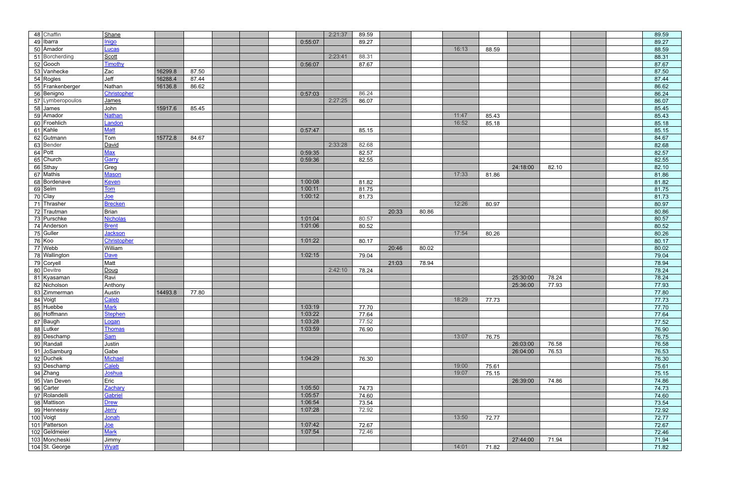| 48 Chaffin           | Shane           |         |       |         | 2:21:37 | 89.59 |       |       |       |       |          |       | 89.59 |  |
|----------------------|-----------------|---------|-------|---------|---------|-------|-------|-------|-------|-------|----------|-------|-------|--|
| 49 Ibarra            | Inigo           |         |       | 0:55:07 |         | 89.27 |       |       |       |       |          |       | 89.27 |  |
| 50 Amador            | Lucas           |         |       |         |         |       |       |       | 16:13 | 88.59 |          |       | 88.59 |  |
| 51 Borcherding       | Scott           |         |       |         | 2:23:41 | 88.31 |       |       |       |       |          |       | 88.31 |  |
| $52$ Gooch           | Timothy         |         |       | 0:56:07 |         | 87.67 |       |       |       |       |          |       | 87.67 |  |
| 53 Vanhecke          | Zac             | 16299.8 | 87.50 |         |         |       |       |       |       |       |          |       | 87.50 |  |
| $54$ Rogles          | Jeff            | 16288.4 | 87.44 |         |         |       |       |       |       |       |          |       | 87.44 |  |
| 55 Frankenberger     | Nathan          | 16136.8 | 86.62 |         |         |       |       |       |       |       |          |       | 86.62 |  |
| 56 Benigno           | Christopher     |         |       | 0:57:03 |         | 86.24 |       |       |       |       |          |       | 86.24 |  |
| 57 Lymberopoulos     | James           |         |       |         | 2:27:25 | 86.07 |       |       |       |       |          |       | 86.07 |  |
| $58$ James           | John            | 15917.6 | 85.45 |         |         |       |       |       |       |       |          |       | 85.45 |  |
| 59 Amador            | <b>Nathan</b>   |         |       |         |         |       |       |       | 11:47 | 85.43 |          |       | 85.43 |  |
| 60 Froehlich         | Landon          |         |       |         |         |       |       |       | 16:52 | 85.18 |          |       | 85.18 |  |
| 61 Kahle             | <b>Matt</b>     |         |       | 0:57:47 |         | 85.15 |       |       |       |       |          |       | 85.15 |  |
| 62 Gutmann           | Tom             | 15772.8 | 84.67 |         |         |       |       |       |       |       |          |       | 84.67 |  |
| 63 Bender            | David           |         |       |         | 2:33:28 | 82.68 |       |       |       |       |          |       | 82.68 |  |
| $64$ Pott            | <u>Max</u>      |         |       | 0:59:35 |         | 82.57 |       |       |       |       |          |       | 82.57 |  |
| 65 Church            | Garry           |         |       | 0:59:36 |         | 82.55 |       |       |       |       |          |       | 82.55 |  |
| 66 Sthay             | Greg            |         |       |         |         |       |       |       |       |       | 24:18:00 | 82.10 | 82.10 |  |
| 67 Mathis            | <b>Mason</b>    |         |       |         |         |       |       |       | 17:33 | 81.86 |          |       | 81.86 |  |
| 68 Bordenave         | <b>Keven</b>    |         |       | 1:00:08 |         | 81.82 |       |       |       |       |          |       | 81.82 |  |
| 69 Selm              | <b>Tom</b>      |         |       | 1:00:11 |         | 81.75 |       |       |       |       |          |       | 81.75 |  |
| $\overline{70}$ Clay | <u>Joe</u>      |         |       | 1:00:12 |         | 81.73 |       |       |       |       |          |       | 81.73 |  |
| 71 Thrasher          | <b>Brecken</b>  |         |       |         |         |       |       |       | 12:26 | 80.97 |          |       | 80.97 |  |
| 72 Trautman          | Brian           |         |       |         |         |       | 20:33 | 80.86 |       |       |          |       | 80.86 |  |
| 73 Purschke          | <b>Nicholas</b> |         |       | 1:01:04 |         | 80.57 |       |       |       |       |          |       | 80.57 |  |
| 74 Anderson          | <b>Brent</b>    |         |       | 1:01:06 |         | 80.52 |       |       |       |       |          |       | 80.52 |  |
| $75$ Guller          | <b>Jackson</b>  |         |       |         |         |       |       |       | 17:54 | 80.26 |          |       | 80.26 |  |
| $76$ Koo             | Christopher     |         |       | 1:01:22 |         | 80.17 |       |       |       |       |          |       | 80.17 |  |
| $77$ Webb            | William         |         |       |         |         |       | 20:46 | 80.02 |       |       |          |       | 80.02 |  |
| 78 Wallington        | <b>Dave</b>     |         |       | 1:02:15 |         | 79.04 |       |       |       |       |          |       | 79.04 |  |
| 79 Coryell           | Matt            |         |       |         |         |       | 21:03 | 78.94 |       |       |          |       | 78.94 |  |
| 80 Devitre           | Doug            |         |       |         | 2:42:10 | 78.24 |       |       |       |       |          |       | 78.24 |  |
| 81 Kyasaman          | Ravi            |         |       |         |         |       |       |       |       |       | 25:30:00 | 78.24 | 78.24 |  |
| 82 Nicholson         | Anthony         |         |       |         |         |       |       |       |       |       | 25:36:00 | 77.93 | 77.93 |  |
| 83 Zimmerman         | Austin          | 14493.8 | 77.80 |         |         |       |       |       |       |       |          |       | 77.80 |  |
| 84 Voigt             | Caleb           |         |       |         |         |       |       |       | 18:29 | 77.73 |          |       | 77.73 |  |
| 85 Huebbe            | <b>Mark</b>     |         |       | 1:03:19 |         | 77.70 |       |       |       |       |          |       | 77.70 |  |
| 86 Hoffmann          | <b>Stephen</b>  |         |       | 1:03:22 |         | 77.64 |       |       |       |       |          |       | 77.64 |  |
| 87 Baugh             | Logan           |         |       | 1:03:28 |         | 77.52 |       |       |       |       |          |       | 77.52 |  |
| 88 Lutker            | <b>Thomas</b>   |         |       | 1:03:59 |         | 76.90 |       |       |       |       |          |       | 76.90 |  |
| 89 Deschamp          | Sam             |         |       |         |         |       |       |       | 13:07 | 76.75 |          |       | 76.75 |  |
| 90 Randall           | Justin          |         |       |         |         |       |       |       |       |       | 26:03:00 | 76.58 | 76.58 |  |
| 91 JoSamburg         | Gabe            |         |       |         |         |       |       |       |       |       | 26:04:00 | 76.53 | 76.53 |  |
| 92 Duchek            | <b>Michael</b>  |         |       | 1:04:29 |         | 76.30 |       |       |       |       |          |       | 76.30 |  |
| 93 Deschamp          | Caleb           |         |       |         |         |       |       |       | 19:00 | 75.61 |          |       | 75.61 |  |
| $94$ Zhang           | Joshua          |         |       |         |         |       |       |       | 19:07 | 75.15 |          |       | 75.15 |  |
| 95 Van Deven         | Eric            |         |       |         |         |       |       |       |       |       | 26:39:00 | 74.86 | 74.86 |  |
| 96 Carter            | Zachary         |         |       | 1:05:50 |         | 74.73 |       |       |       |       |          |       | 74.73 |  |
| 97 Rolandelli        | Gabriel         |         |       | 1:05:57 |         | 74.60 |       |       |       |       |          |       | 74.60 |  |
| 98 Mattison          | <b>Drew</b>     |         |       | 1:06:54 |         | 73.54 |       |       |       |       |          |       | 73.54 |  |
| 99 Hennessy          | Jerry           |         |       | 1:07:28 |         | 72.92 |       |       |       |       |          |       | 72.92 |  |
| 100 Voigt            | Jonah           |         |       |         |         |       |       |       | 13:50 | 72.77 |          |       | 72.77 |  |
| 101 Patterson        | $Joe$           |         |       | 1:07:42 |         | 72.67 |       |       |       |       |          |       | 72.67 |  |
| 102 Geldmeier        | <b>Mark</b>     |         |       | 1:07:54 |         | 72.46 |       |       |       |       |          |       | 72.46 |  |
| 103 Moncheski        | Jimmy           |         |       |         |         |       |       |       |       |       | 27:44:00 | 71.94 | 71.94 |  |
| 104 St. George       | Wyatt           |         |       |         |         |       |       |       | 14:01 | 71.82 |          |       | 71.82 |  |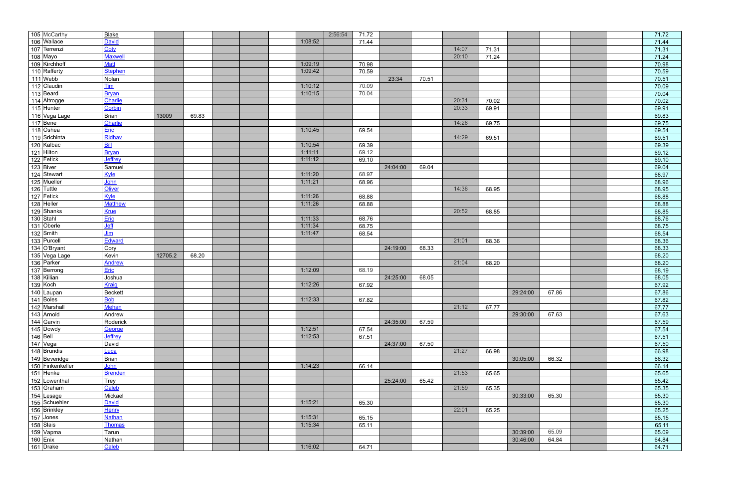| 105 McCarthy                                            | <b>Blake</b>   |         |       |         | 2:56:54 | 71.72 |          |       |       |       |          |       |  | 71.72 |
|---------------------------------------------------------|----------------|---------|-------|---------|---------|-------|----------|-------|-------|-------|----------|-------|--|-------|
| 106 Wallace                                             | <b>David</b>   |         |       | 1:08:52 |         | 71.44 |          |       |       |       |          |       |  | 71.44 |
| 107 Terrenzi                                            | Coty           |         |       |         |         |       |          |       | 14:07 | 71.31 |          |       |  | 71.31 |
| 108 Mayo                                                | <b>Maxwel</b>  |         |       |         |         |       |          |       | 20:10 | 71.24 |          |       |  | 71.24 |
| 109 Kirchhoff                                           | <u>Matt</u>    |         |       | 1:09:19 |         | 70.98 |          |       |       |       |          |       |  | 70.98 |
| 110 Rafferty                                            | <b>Stephen</b> |         |       | 1:09:42 |         | 70.59 |          |       |       |       |          |       |  | 70.59 |
|                                                         | Nolan          |         |       |         |         |       | 23:34    | 70.51 |       |       |          |       |  | 70.51 |
| 111 Webb<br>112 Claudin                                 | <u>Tim</u>     |         |       | 1:10:12 |         | 70.09 |          |       |       |       |          |       |  | 70.09 |
| $113$ Beard                                             | <b>Bryan</b>   |         |       | 1:10:15 |         | 70.04 |          |       |       |       |          |       |  | 70.04 |
| 114 Altrogge                                            | Charlie        |         |       |         |         |       |          |       | 20:31 | 70.02 |          |       |  | 70.02 |
| 115 Hunter                                              | Corbin         |         |       |         |         |       |          |       | 20:33 | 69.91 |          |       |  | 69.91 |
| 116 Vega Lage                                           | <b>Brian</b>   | 13009   | 69.83 |         |         |       |          |       |       |       |          |       |  | 69.83 |
| $\sqrt{117 Bene }$                                      | Charlie        |         |       |         |         |       |          |       | 14:26 | 69.75 |          |       |  | 69.75 |
| $118$ Oshea                                             | Eric           |         |       | 1:10:45 |         | 69.54 |          |       |       |       |          |       |  | 69.54 |
|                                                         | Ridhav         |         |       |         |         |       |          |       | 14:29 | 69.51 |          |       |  | 69.51 |
|                                                         | <u>Bill</u>    |         |       | 1:10:54 |         | 69.39 |          |       |       |       |          |       |  | 69.39 |
|                                                         | <b>Bryan</b>   |         |       | 1:11:11 |         | 69.12 |          |       |       |       |          |       |  | 69.12 |
| 119 Srichinta<br>120 Kalbac<br>121 Hilton<br>122 Fetick | Jeffrey        |         |       | 1:11:12 |         | 69.10 |          |       |       |       |          |       |  | 69.10 |
| $123$ Biver                                             | Samuel         |         |       |         |         |       | 24:04:00 | 69.04 |       |       |          |       |  | 69.04 |
| 124 Stewart                                             | Kyle           |         |       | 1:11:20 |         | 68.97 |          |       |       |       |          |       |  | 68.97 |
| 125 Mueller                                             | John           |         |       | 1:11:21 |         | 68.96 |          |       |       |       |          |       |  | 68.96 |
| 126 Tuttle<br>127 Fetick<br>128 Heller                  | <b>Oliver</b>  |         |       |         |         |       |          |       | 14:36 | 68.95 |          |       |  | 68.95 |
|                                                         | Kyle           |         |       | 1:11:26 |         | 68.88 |          |       |       |       |          |       |  | 68.88 |
|                                                         | <b>Matthew</b> |         |       | 1:11:26 |         | 68.88 |          |       |       |       |          |       |  | 68.88 |
|                                                         | Krue           |         |       |         |         |       |          |       | 20:52 | 68.85 |          |       |  | 68.85 |
| 129 Shanks<br>130 Stahl                                 | Eric           |         |       | 1:11:33 |         | 68.76 |          |       |       |       |          |       |  | 68.76 |
| $131$ Oberle                                            | <u>Jeff</u>    |         |       | 1:11:34 |         | 68.75 |          |       |       |       |          |       |  | 68.75 |
| $132$ Smith                                             | <u>Jim</u>     |         |       | 1:11:47 |         | 68.54 |          |       |       |       |          |       |  | 68.54 |
| 133 Purcell                                             | Edward         |         |       |         |         |       |          |       | 21:01 | 68.36 |          |       |  | 68.36 |
| 134 O'Bryant                                            | Cory           |         |       |         |         |       | 24:19:00 | 68.33 |       |       |          |       |  | 68.33 |
| 135 Vega Lage                                           | Kevin          | 12705.2 | 68.20 |         |         |       |          |       |       |       |          |       |  | 68.20 |
| 136 Parker                                              | <b>Andrew</b>  |         |       |         |         |       |          |       | 21:04 | 68.20 |          |       |  | 68.20 |
| 137 Berrong                                             | Eric           |         |       | 1:12:09 |         | 68.19 |          |       |       |       |          |       |  | 68.19 |
| 138 Killian                                             | Joshua         |         |       |         |         |       | 24:25:00 | 68.05 |       |       |          |       |  | 68.05 |
| 139 Koch                                                | Kraig          |         |       | 1:12:26 |         | 67.92 |          |       |       |       |          |       |  | 67.92 |
| 140 Laupan                                              | Beckett        |         |       |         |         |       |          |       |       |       | 29:24:00 | 67.86 |  | 67.86 |
| $\boxed{141}$ Boles                                     | <b>Bob</b>     |         |       | 1:12:33 |         | 67.82 |          |       |       |       |          |       |  | 67.82 |
| 142 Marshall                                            | Mehan          |         |       |         |         |       |          |       | 21:12 | 67.77 |          |       |  | 67.77 |
|                                                         | Andrew         |         |       |         |         |       |          |       |       |       | 29:30:00 | 67.63 |  | 67.63 |
| 143 Arnold<br>144 Garvin                                | Roderick       |         |       |         |         |       | 24:35:00 | 67.59 |       |       |          |       |  | 67.59 |
| 145 Dowdy<br>146 Bell                                   | George         |         |       | 1:12:51 |         | 67.54 |          |       |       |       |          |       |  | 67.54 |
|                                                         | Jeffrey        |         |       | 1:12:53 |         | 67.51 |          |       |       |       |          |       |  | 67.51 |
| $147$ Vega                                              | David          |         |       |         |         |       | 24:37:00 | 67.50 |       |       |          |       |  | 67.50 |
| 148 Brundis                                             | <u>Luca</u>    |         |       |         |         |       |          |       | 21:27 | 66.98 |          |       |  | 66.98 |
| 149 Beveridge                                           | Brian          |         |       |         |         |       |          |       |       |       | 30:05:00 | 66.32 |  | 66.32 |
|                                                         | John           |         |       | 1:14:23 |         | 66.14 |          |       |       |       |          |       |  | 66.14 |
| 150 Finkenkeller<br>151 Henke<br>152 Lowenthal          | <b>Brenden</b> |         |       |         |         |       |          |       | 21:53 | 65.65 |          |       |  | 65.65 |
|                                                         | Trey           |         |       |         |         |       | 25:24:00 | 65.42 |       |       |          |       |  | 65.42 |
| 153 Graham                                              | Caleb          |         |       |         |         |       |          |       | 21:59 | 65.35 |          |       |  | 65.35 |
| 154 Lesage<br>155 Schuehler                             | Mickael        |         |       |         |         |       |          |       |       |       | 30:33:00 | 65.30 |  | 65.30 |
|                                                         | David          |         |       | 1:15:21 |         | 65.30 |          |       |       |       |          |       |  | 65.30 |
| 156 Brinkley                                            | Henry          |         |       |         |         |       |          |       | 22:01 | 65.25 |          |       |  | 65.25 |
| $\sqrt{157}$ Jones                                      | <b>Nathan</b>  |         |       | 1:15:31 |         | 65.15 |          |       |       |       |          |       |  | 65.15 |
| 158 Slais                                               | <b>Thomas</b>  |         |       | 1:15:34 |         | 65.11 |          |       |       |       |          |       |  | 65.11 |
| 159 Vapma                                               | Tarun          |         |       |         |         |       |          |       |       |       | 30:39:00 | 65.09 |  | 65.09 |
| $160$ Enix                                              | Nathan         |         |       |         |         |       |          |       |       |       | 30:46:00 | 64.84 |  | 64.84 |
| 161 Drake                                               | Caleb          |         |       | 1:16:02 |         | 64.71 |          |       |       |       |          |       |  | 64.71 |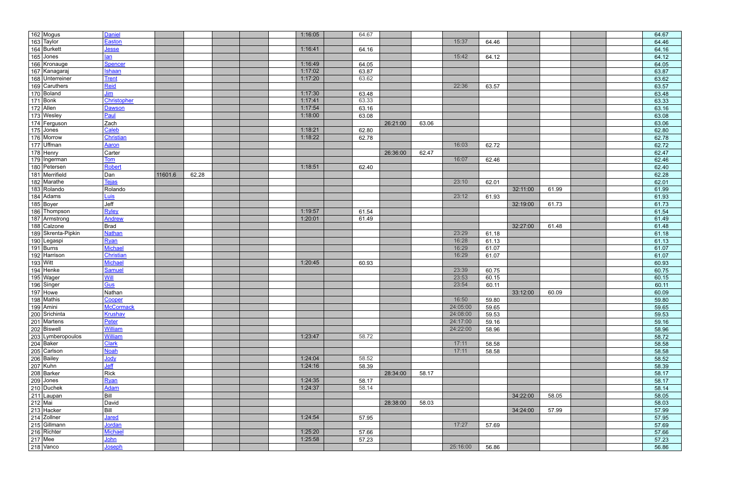| 162 Mogus                                                                                                 | <b>Daniel</b>    |         |       |  | 1:16:05 | 64.67 |          |       |          |       |          |       |  | 64.67 |
|-----------------------------------------------------------------------------------------------------------|------------------|---------|-------|--|---------|-------|----------|-------|----------|-------|----------|-------|--|-------|
| 163 Taylor                                                                                                | <u>Easton</u>    |         |       |  |         |       |          |       | 15:37    | 64.46 |          |       |  | 64.46 |
| 164 Burkett                                                                                               | <u>Jesse</u>     |         |       |  | 1:16:41 | 64.16 |          |       |          |       |          |       |  | 64.16 |
| 165 Jones                                                                                                 | <u>lan</u>       |         |       |  |         |       |          |       | 15:42    | 64.12 |          |       |  | 64.12 |
| 166 Kronauge                                                                                              | Spencer          |         |       |  | 1:16:49 | 64.05 |          |       |          |       |          |       |  | 64.05 |
| 167 Kanagaraj                                                                                             | <b>Ishaan</b>    |         |       |  | 1:17:02 | 63.87 |          |       |          |       |          |       |  | 63.87 |
| 168 Unterreiner                                                                                           | <b>Trent</b>     |         |       |  | 1:17:20 | 63.62 |          |       |          |       |          |       |  | 63.62 |
| 169 Caruthers                                                                                             | Reid             |         |       |  |         |       |          |       | 22:36    | 63.57 |          |       |  | 63.57 |
| 170 Boland                                                                                                | <u>Jim</u>       |         |       |  | 1:17:30 | 63.48 |          |       |          |       |          |       |  | 63.48 |
| $ 171 $ Bonk                                                                                              | Christopher      |         |       |  | 1:17:41 | 63.33 |          |       |          |       |          |       |  | 63.33 |
| 172 Allen                                                                                                 | <b>Dawson</b>    |         |       |  | 1:17:54 | 63.16 |          |       |          |       |          |       |  | 63.16 |
| 173 Wesley                                                                                                | Paul             |         |       |  | 1:18:00 | 63.08 |          |       |          |       |          |       |  | 63.08 |
| 174 Ferguson                                                                                              | Zach             |         |       |  |         |       | 26:21:00 | 63.06 |          |       |          |       |  | 63.06 |
| $175$ Jones                                                                                               | Caleb            |         |       |  | 1:18:21 | 62.80 |          |       |          |       |          |       |  | 62.80 |
| 176 Morrow                                                                                                | Christian        |         |       |  | 1:18:22 |       |          |       |          |       |          |       |  |       |
|                                                                                                           | Aaron            |         |       |  |         | 62.78 |          |       | 16:03    |       |          |       |  | 62.78 |
| 177 Uffman                                                                                                |                  |         |       |  |         |       |          |       |          | 62.72 |          |       |  | 62.72 |
| 178 Henry                                                                                                 | Carter           |         |       |  |         |       | 26:36:00 | 62.47 |          |       |          |       |  | 62.47 |
| 179 Ingerman                                                                                              | <b>Tom</b>       |         |       |  |         |       |          |       | 16:07    | 62.46 |          |       |  | 62.46 |
| 180 Petersen                                                                                              | Robert           |         |       |  | 1:18:51 | 62.40 |          |       |          |       |          |       |  | 62.40 |
| 181 Merrifield                                                                                            | Dan              | 11601.6 | 62.28 |  |         |       |          |       |          |       |          |       |  | 62.28 |
| 182 Marathe                                                                                               | Tejas            |         |       |  |         |       |          |       | 23:10    | 62.01 |          |       |  | 62.01 |
| 183 Rolando                                                                                               | Rolando          |         |       |  |         |       |          |       |          |       | 32:11:00 | 61.99 |  | 61.99 |
| 184 Adams                                                                                                 | <u>Luis</u>      |         |       |  |         |       |          |       | 23:12    | 61.93 |          |       |  | 61.93 |
| 185 Boyer                                                                                                 | Jeff             |         |       |  |         |       |          |       |          |       | 32:19:00 | 61.73 |  | 61.73 |
| 186 Thompson                                                                                              | Ryley            |         |       |  | 1:19:57 | 61.54 |          |       |          |       |          |       |  | 61.54 |
| 187 Armstrong                                                                                             | <b>Andrew</b>    |         |       |  | 1:20:01 | 61.49 |          |       |          |       |          |       |  | 61.49 |
| 188 Calzone                                                                                               | Brad             |         |       |  |         |       |          |       |          |       | 32:27:00 | 61.48 |  | 61.48 |
| 189 Skrenta-Pipkin                                                                                        | <b>Nathan</b>    |         |       |  |         |       |          |       | 23:29    | 61.18 |          |       |  | 61.18 |
| 190 Legaspi                                                                                               | <u>Ryan</u>      |         |       |  |         |       |          |       | 16:28    | 61.13 |          |       |  | 61.13 |
| $191$ Burns                                                                                               | Michael          |         |       |  |         |       |          |       | 16:29    | 61.07 |          |       |  | 61.07 |
| 192 Harrison                                                                                              | Christian        |         |       |  |         |       |          |       | 16:29    | 61.07 |          |       |  | 61.07 |
| 193 Witt                                                                                                  | Michael          |         |       |  | 1:20:45 | 60.93 |          |       |          |       |          |       |  | 60.93 |
| 194 Henke                                                                                                 | <b>Samuel</b>    |         |       |  |         |       |          |       | 23:39    | 60.75 |          |       |  | 60.75 |
| 195 Wager                                                                                                 | Will             |         |       |  |         |       |          |       | 23:53    | 60.15 |          |       |  | 60.15 |
| 196 Singer                                                                                                | Gus              |         |       |  |         |       |          |       | 23:54    | 60.11 |          |       |  | 60.11 |
| $197$ Howe                                                                                                | Nathan           |         |       |  |         |       |          |       |          |       | 33:12:00 | 60.09 |  | 60.09 |
| 198 Mathis                                                                                                | Cooper           |         |       |  |         |       |          |       | 16:50    | 59.80 |          |       |  | 59.80 |
|                                                                                                           | <b>McCormack</b> |         |       |  |         |       |          |       | 24:05:00 | 59.65 |          |       |  | 59.65 |
|                                                                                                           | <b>Krushav</b>   |         |       |  |         |       |          |       | 24:08:00 | 59.53 |          |       |  | 59.53 |
|                                                                                                           | Peter            |         |       |  |         |       |          |       | 24:17:00 | 59.16 |          |       |  | 59.16 |
| 199 Amini<br>200 Srichinta<br>201 Martens<br>202 Biswell                                                  | <b>William</b>   |         |       |  |         |       |          |       | 24:22:00 | 58.96 |          |       |  | 58.96 |
| 203 Lymberopoulos                                                                                         | <b>William</b>   |         |       |  | 1:23:47 | 58.72 |          |       |          |       |          |       |  | 58.72 |
| 203 Lymber<br>204 Baker<br>205 Carlson<br>206 Bailey<br>207 Kuhn<br>208 Barker<br>209 Jones<br>210 Duchek | <b>Clark</b>     |         |       |  |         |       |          |       | 17:11    | 58.58 |          |       |  | 58.58 |
|                                                                                                           | <b>Noah</b>      |         |       |  |         |       |          |       | 17:11    | 58.58 |          |       |  | 58.58 |
|                                                                                                           | Jody             |         |       |  | 1:24:04 | 58.52 |          |       |          |       |          |       |  | 58.52 |
|                                                                                                           | <u>Jeff</u>      |         |       |  | 1:24:16 | 58.39 |          |       |          |       |          |       |  | 58.39 |
|                                                                                                           | Rick             |         |       |  |         |       | 28:34:00 | 58.17 |          |       |          |       |  | 58.17 |
|                                                                                                           | <u>Ryan</u>      |         |       |  | 1:24:35 | 58.17 |          |       |          |       |          |       |  | 58.17 |
|                                                                                                           | <b>Adam</b>      |         |       |  | 1:24:37 | 58.14 |          |       |          |       |          |       |  | 58.14 |
|                                                                                                           | Bill             |         |       |  |         |       |          |       |          |       |          | 58.05 |  | 58.05 |
| 211 Laupan<br>212 Mai                                                                                     |                  |         |       |  |         |       |          |       |          |       | 34:22:00 |       |  | 58.03 |
|                                                                                                           | David            |         |       |  |         |       | 28:38:00 | 58.03 |          |       |          |       |  |       |
| 213 Hacker                                                                                                | Bill             |         |       |  |         |       |          |       |          |       | 34:24:00 | 57.99 |  | 57.99 |
| 214 Zollner                                                                                               | <b>Jared</b>     |         |       |  | 1:24:54 | 57.95 |          |       |          |       |          |       |  | 57.95 |
|                                                                                                           | <b>Jordan</b>    |         |       |  |         |       |          |       | 17:27    | 57.69 |          |       |  | 57.69 |
| 215 Gillmann<br>216 Richter<br>217 Mee<br>218 Vanco                                                       | <b>Michael</b>   |         |       |  | 1:25:20 | 57.66 |          |       |          |       |          |       |  | 57.66 |
|                                                                                                           | <u>John</u>      |         |       |  | 1:25:58 | 57.23 |          |       |          |       |          |       |  | 57.23 |
|                                                                                                           | Joseph           |         |       |  |         |       |          |       | 25:16:00 | 56.86 |          |       |  | 56.86 |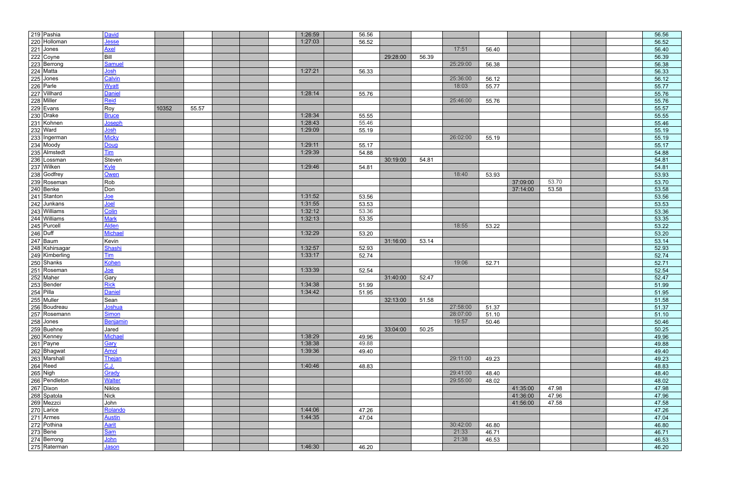|                                                                                                                                                                                                                                                                      | David                   |       |       |  | 1:26:59 | 56.56 |          |       |          |       |          |       |  | 56.56 |
|----------------------------------------------------------------------------------------------------------------------------------------------------------------------------------------------------------------------------------------------------------------------|-------------------------|-------|-------|--|---------|-------|----------|-------|----------|-------|----------|-------|--|-------|
|                                                                                                                                                                                                                                                                      | <u>Jesse</u>            |       |       |  | 1:27:03 | 56.52 |          |       |          |       |          |       |  | 56.52 |
|                                                                                                                                                                                                                                                                      | <b>Axel</b>             |       |       |  |         |       |          |       | 17:51    | 56.40 |          |       |  | 56.40 |
|                                                                                                                                                                                                                                                                      | Bill                    |       |       |  |         |       | 29:28:00 | 56.39 |          |       |          |       |  | 56.39 |
|                                                                                                                                                                                                                                                                      | Samuel                  |       |       |  |         |       |          |       | 25:29:00 | 56.38 |          |       |  | 56.38 |
|                                                                                                                                                                                                                                                                      | <u>Josh</u>             |       |       |  | 1:27:21 | 56.33 |          |       |          |       |          |       |  | 56.33 |
|                                                                                                                                                                                                                                                                      | Calvin                  |       |       |  |         |       |          |       | 25:36:00 | 56.12 |          |       |  | 56.12 |
|                                                                                                                                                                                                                                                                      | <b>Wyatt</b>            |       |       |  |         |       |          |       | 18:03    | 55.77 |          |       |  | 55.77 |
|                                                                                                                                                                                                                                                                      | <b>Daniel</b>           |       |       |  | 1:28:14 | 55.76 |          |       |          |       |          |       |  | 55.76 |
|                                                                                                                                                                                                                                                                      | Reid                    |       |       |  |         |       |          |       | 25:46:00 | 55.76 |          |       |  | 55.76 |
|                                                                                                                                                                                                                                                                      | Roy                     | 10352 | 55.57 |  |         |       |          |       |          |       |          |       |  | 55.57 |
|                                                                                                                                                                                                                                                                      | <b>Bruce</b>            |       |       |  | 1:28:34 | 55.55 |          |       |          |       |          |       |  | 55.55 |
|                                                                                                                                                                                                                                                                      | <u>Joseph</u>           |       |       |  | 1:28:43 | 55.46 |          |       |          |       |          |       |  | 55.46 |
| 219 Pashia<br>220 Holloman<br>221 Jones<br>222 Coyne<br>223 Berrong<br>224 Matta<br>225 Jones<br>226 Parle<br>226 Parle<br>228 Miller<br>228 Miller<br>229 Evans<br>230 Drake<br>231 Kohnen<br>232 Ward<br>233 Ingerman<br>234 Moody<br>234 Moody<br>234 Moody<br>23 | <u>Josh</u>             |       |       |  | 1:29:09 | 55.19 |          |       |          |       |          |       |  | 55.19 |
|                                                                                                                                                                                                                                                                      | <b>Micky</b>            |       |       |  |         |       |          |       | 26:02:00 | 55.19 |          |       |  | 55.19 |
|                                                                                                                                                                                                                                                                      | Doug                    |       |       |  | 1:29:11 | 55.17 |          |       |          |       |          |       |  | 55.17 |
|                                                                                                                                                                                                                                                                      | <u>Tim</u>              |       |       |  | 1:29:39 | 54.88 |          |       |          |       |          |       |  | 54.88 |
|                                                                                                                                                                                                                                                                      | Steven                  |       |       |  |         |       | 30:19:00 | 54.81 |          |       |          |       |  | 54.81 |
| 237 Wilken                                                                                                                                                                                                                                                           | Kyle                    |       |       |  | 1:29:46 | 54.81 |          |       |          |       |          |       |  | 54.81 |
| 238 Godfrey                                                                                                                                                                                                                                                          | Owen                    |       |       |  |         |       |          |       | 18:40    | 53.93 |          |       |  | 53.93 |
| 239 Roseman                                                                                                                                                                                                                                                          | Rob                     |       |       |  |         |       |          |       |          |       | 37:09:00 | 53.70 |  | 53.70 |
| 240 Benke                                                                                                                                                                                                                                                            | Don                     |       |       |  |         |       |          |       |          |       | 37:14:00 | 53.58 |  | 53.58 |
| 241 Stanton<br>242 Junkans<br>243 Williams<br>244 Williams                                                                                                                                                                                                           | <u>Joe</u>              |       |       |  | 1:31:52 | 53.56 |          |       |          |       |          |       |  | 53.56 |
|                                                                                                                                                                                                                                                                      | <u>Joel</u>             |       |       |  | 1:31:55 | 53.53 |          |       |          |       |          |       |  | 53.53 |
|                                                                                                                                                                                                                                                                      | Colin                   |       |       |  | 1:32:12 | 53.36 |          |       |          |       |          |       |  | 53.36 |
|                                                                                                                                                                                                                                                                      | <b>Mark</b>             |       |       |  | 1:32:13 | 53.35 |          |       |          |       |          |       |  | 53.35 |
|                                                                                                                                                                                                                                                                      | <b>Alden</b>            |       |       |  |         |       |          |       | 18:55    | 53.22 |          |       |  | 53.22 |
| 245 Purcell                                                                                                                                                                                                                                                          | <b>Michael</b>          |       |       |  | 1:32:29 | 53.20 |          |       |          |       |          |       |  | 53.20 |
| 247 Baum                                                                                                                                                                                                                                                             | Kevin                   |       |       |  |         |       | 31:16:00 | 53.14 |          |       |          |       |  | 53.14 |
| 248 Kshirsagar                                                                                                                                                                                                                                                       | Shashi                  |       |       |  | 1:32:57 | 52.93 |          |       |          |       |          |       |  | 52.93 |
|                                                                                                                                                                                                                                                                      | $\overline{\text{Lim}}$ |       |       |  | 1:33:17 | 52.74 |          |       |          |       |          |       |  | 52.74 |
|                                                                                                                                                                                                                                                                      | <b>Kohen</b>            |       |       |  |         |       |          |       | 19:06    | 52.71 |          |       |  | 52.71 |
| 249 Kimberling<br>250 Shanks<br>251 Roseman                                                                                                                                                                                                                          | <u>Joe</u>              |       |       |  | 1:33:39 | 52.54 |          |       |          |       |          |       |  | 52.54 |
| 252 Maher                                                                                                                                                                                                                                                            | Gary                    |       |       |  |         |       | 31:40:00 | 52.47 |          |       |          |       |  | 52.47 |
| 253 Bender                                                                                                                                                                                                                                                           | <b>Rick</b>             |       |       |  | 1:34:38 | 51.99 |          |       |          |       |          |       |  | 51.99 |
|                                                                                                                                                                                                                                                                      | Daniel                  |       |       |  | 1:34:42 | 51.95 |          |       |          |       |          |       |  | 51.95 |
| 254 Pilla<br>255 Muller                                                                                                                                                                                                                                              | Sean                    |       |       |  |         |       | 32:13:00 | 51.58 |          |       |          |       |  | 51.58 |
| 256 Boudreau                                                                                                                                                                                                                                                         | <b>Joshua</b>           |       |       |  |         |       |          |       | 27:58:00 | 51.37 |          |       |  | 51.37 |
|                                                                                                                                                                                                                                                                      | <b>Simon</b>            |       |       |  |         |       |          |       | 28:07:00 | 51.10 |          |       |  | 51.10 |
|                                                                                                                                                                                                                                                                      | Benjamin                |       |       |  |         |       |          |       | 19:57    | 50.46 |          |       |  | 50.46 |
| 257 Rosemann<br>258 Jones<br>259 Buehne                                                                                                                                                                                                                              | Jared                   |       |       |  |         |       | 33:04:00 | 50.25 |          |       |          |       |  | 50.25 |
| 259 Buenne<br>260 Kenney<br>262 Bhagwat<br>263 Marshall<br>264 Reed<br>265 Nigh<br>266 Pendleton<br>267 Dixon<br>266 Settle                                                                                                                                          | Michael                 |       |       |  | 1:38:29 | 49.96 |          |       |          |       |          |       |  | 49.96 |
|                                                                                                                                                                                                                                                                      | Gary                    |       |       |  | 1:38:38 | 49.88 |          |       |          |       |          |       |  | 49.88 |
|                                                                                                                                                                                                                                                                      | <b>Amol</b>             |       |       |  | 1:39:36 | 49.40 |          |       |          |       |          |       |  | 49.40 |
|                                                                                                                                                                                                                                                                      | Thejan                  |       |       |  |         |       |          |       | 29:11:00 | 49.23 |          |       |  | 49.23 |
|                                                                                                                                                                                                                                                                      | <u>C.J.</u>             |       |       |  | 1:40:46 | 48.83 |          |       |          |       |          |       |  | 48.83 |
|                                                                                                                                                                                                                                                                      | Grady                   |       |       |  |         |       |          |       | 29:41:00 | 48.40 |          |       |  | 48.40 |
|                                                                                                                                                                                                                                                                      | <b>Walter</b>           |       |       |  |         |       |          |       | 29:55:00 | 48.02 |          |       |  | 48.02 |
|                                                                                                                                                                                                                                                                      | Niklos                  |       |       |  |         |       |          |       |          |       | 41:35:00 | 47.98 |  | 47.98 |
| 268 Spatola                                                                                                                                                                                                                                                          | $\vert$ Nick            |       |       |  |         |       |          |       |          |       | 41:36:00 | 47.96 |  | 47.96 |
| 268 Spatola<br>269 Mezzci<br>270 Larice<br>271 Armes<br>272 Pothina<br>273 Bene<br>274 Berrong<br>275 Raterman                                                                                                                                                       | John                    |       |       |  |         |       |          |       |          |       | 41:56:00 | 47.58 |  | 47.58 |
|                                                                                                                                                                                                                                                                      | Rolando                 |       |       |  | 1:44:06 | 47.26 |          |       |          |       |          |       |  | 47.26 |
|                                                                                                                                                                                                                                                                      | <b>Austin</b>           |       |       |  | 1:44:35 | 47.04 |          |       |          |       |          |       |  | 47.04 |
|                                                                                                                                                                                                                                                                      | <b>Aarit</b>            |       |       |  |         |       |          |       | 30:42:00 | 46.80 |          |       |  | 46.80 |
|                                                                                                                                                                                                                                                                      | <b>Sam</b>              |       |       |  |         |       |          |       | 21:33    | 46.71 |          |       |  | 46.71 |
|                                                                                                                                                                                                                                                                      | <u>John</u>             |       |       |  |         |       |          |       | 21:38    | 46.53 |          |       |  | 46.53 |
|                                                                                                                                                                                                                                                                      | <u>Jason</u>            |       |       |  | 1:46:30 | 46.20 |          |       |          |       |          |       |  | 46.20 |
|                                                                                                                                                                                                                                                                      |                         |       |       |  |         |       |          |       |          |       |          |       |  |       |